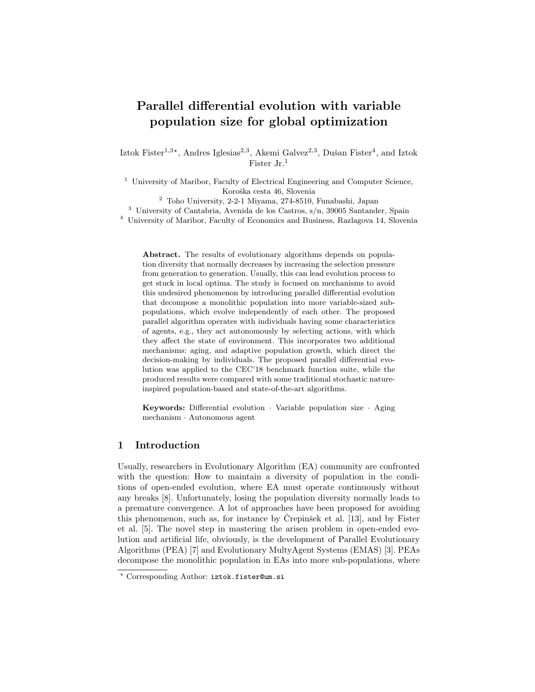# Parallel differential evolution with variable population size for global optimization

Iztok Fister<sup>1,3\*</sup>, Andres Iglesias<sup>2,3</sup>, Akemi Galvez<sup>2,3</sup>, Dušan Fister<sup>4</sup>, and Iztok Fister Jr.<sup>1</sup>

<sup>1</sup> University of Maribor, Faculty of Electrical Engineering and Computer Science, Koroška cesta 46, Slovenia

<sup>2</sup> Toho University, 2-2-1 Miyama, 274-8510, Funabashi, Japan

<sup>3</sup> University of Cantabria, Avenida de los Castros, s/n, 39005 Santander, Spain

<sup>4</sup> University of Maribor, Faculty of Economics and Business, Razlagova 14, Slovenia

Abstract. The results of evolutionary algorithms depends on population diversity that normally decreases by increasing the selection pressure from generation to generation. Usually, this can lead evolution process to get stuck in local optima. The study is focused on mechanisms to avoid this undesired phenomenon by introducing parallel differential evolution that decompose a monolithic population into more variable-sized subpopulations, which evolve independently of each other. The proposed parallel algorithm operates with individuals having some characteristics of agents, e.g., they act autonomously by selecting actions, with which they affect the state of environment. This incorporates two additional mechanisms: aging, and adaptive population growth, which direct the decision-making by individuals. The proposed parallel differential evolution was applied to the CEC'18 benchmark function suite, while the produced results were compared with some traditional stochastic natureinspired population-based and state-of-the-art algorithms.

Keywords: Differential evolution · Variable population size · Aging mechanism · Autonomous agent

## 1 Introduction

Usually, researchers in Evolutionary Algorithm (EA) community are confronted with the question: How to maintain a diversity of population in the conditions of open-ended evolution, where EA must operate continuously without any breaks [8]. Unfortunately, losing the population diversity normally leads to a premature convergence. A lot of approaches have been proposed for avoiding this phenomenon, such as, for instance by Crepinsek et al.  $[13]$ , and by Fister et al. [5]. The novel step in mastering the arisen problem in open-ended evolution and artificial life, obviously, is the development of Parallel Evolutionary Algorithms (PEA) [7] and Evolutionary MultyAgent Systems (EMAS) [3]. PEAs decompose the monolithic population in EAs into more sub-populations, where

<sup>?</sup> Corresponding Author: iztok.fister@um.si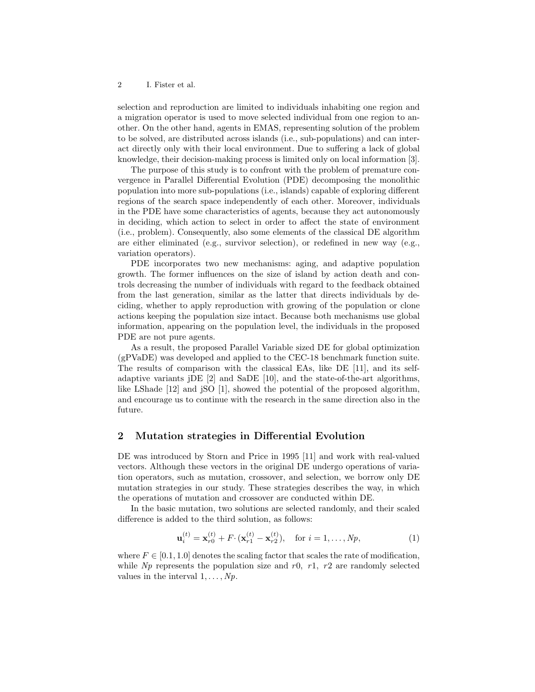selection and reproduction are limited to individuals inhabiting one region and a migration operator is used to move selected individual from one region to another. On the other hand, agents in EMAS, representing solution of the problem to be solved, are distributed across islands (i.e., sub-populations) and can interact directly only with their local environment. Due to suffering a lack of global knowledge, their decision-making process is limited only on local information [3].

The purpose of this study is to confront with the problem of premature convergence in Parallel Differential Evolution (PDE) decomposing the monolithic population into more sub-populations (i.e., islands) capable of exploring different regions of the search space independently of each other. Moreover, individuals in the PDE have some characteristics of agents, because they act autonomously in deciding, which action to select in order to affect the state of environment (i.e., problem). Consequently, also some elements of the classical DE algorithm are either eliminated (e.g., survivor selection), or redefined in new way (e.g., variation operators).

PDE incorporates two new mechanisms: aging, and adaptive population growth. The former influences on the size of island by action death and controls decreasing the number of individuals with regard to the feedback obtained from the last generation, similar as the latter that directs individuals by deciding, whether to apply reproduction with growing of the population or clone actions keeping the population size intact. Because both mechanisms use global information, appearing on the population level, the individuals in the proposed PDE are not pure agents.

As a result, the proposed Parallel Variable sized DE for global optimization (gPVaDE) was developed and applied to the CEC-18 benchmark function suite. The results of comparison with the classical EAs, like DE [11], and its selfadaptive variants jDE [2] and SaDE [10], and the state-of-the-art algorithms, like LShade [12] and jSO [1], showed the potential of the proposed algorithm, and encourage us to continue with the research in the same direction also in the future.

## 2 Mutation strategies in Differential Evolution

DE was introduced by Storn and Price in 1995 [11] and work with real-valued vectors. Although these vectors in the original DE undergo operations of variation operators, such as mutation, crossover, and selection, we borrow only DE mutation strategies in our study. These strategies describes the way, in which the operations of mutation and crossover are conducted within DE.

In the basic mutation, two solutions are selected randomly, and their scaled difference is added to the third solution, as follows:

$$
\mathbf{u}_i^{(t)} = \mathbf{x}_{r0}^{(t)} + F \cdot (\mathbf{x}_{r1}^{(t)} - \mathbf{x}_{r2}^{(t)}), \quad \text{for } i = 1, \dots, Np,
$$
 (1)

where  $F \in [0.1, 1.0]$  denotes the scaling factor that scales the rate of modification, while  $Np$  represents the population size and  $r0$ ,  $r1$ ,  $r2$  are randomly selected values in the interval  $1, \ldots, N_p$ .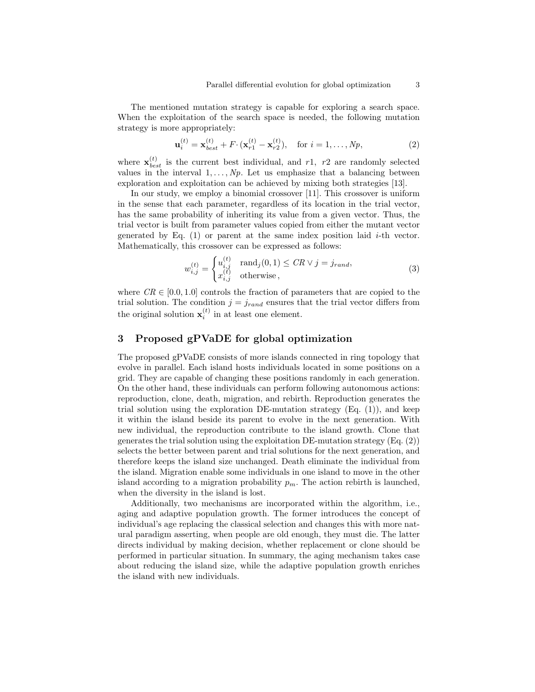The mentioned mutation strategy is capable for exploring a search space. When the exploitation of the search space is needed, the following mutation strategy is more appropriately:

$$
\mathbf{u}_{i}^{(t)} = \mathbf{x}_{best}^{(t)} + F \cdot (\mathbf{x}_{r1}^{(t)} - \mathbf{x}_{r2}^{(t)}), \quad \text{for } i = 1, ..., Np,
$$
 (2)

where  $\mathbf{x}_{best}^{(t)}$  is the current best individual, and r1, r2 are randomly selected values in the interval  $1, \ldots, N_p$ . Let us emphasize that a balancing between exploration and exploitation can be achieved by mixing both strategies [13].

In our study, we employ a binomial crossover [11]. This crossover is uniform in the sense that each parameter, regardless of its location in the trial vector, has the same probability of inheriting its value from a given vector. Thus, the trial vector is built from parameter values copied from either the mutant vector generated by Eq.  $(1)$  or parent at the same index position laid *i*-th vector. Mathematically, this crossover can be expressed as follows:

$$
w_{i,j}^{(t)} = \begin{cases} u_{i,j}^{(t)} & \text{rand}_j(0,1) \leq CR \vee j = j_{rand}, \\ x_{i,j}^{(t)} & \text{otherwise}, \end{cases}
$$
(3)

where  $CR \in [0.0, 1.0]$  controls the fraction of parameters that are copied to the trial solution. The condition  $j = j_{rand}$  ensures that the trial vector differs from the original solution  $\mathbf{x}_i^{(t)}$  in at least one element.

## 3 Proposed gPVaDE for global optimization

The proposed gPVaDE consists of more islands connected in ring topology that evolve in parallel. Each island hosts individuals located in some positions on a grid. They are capable of changing these positions randomly in each generation. On the other hand, these individuals can perform following autonomous actions: reproduction, clone, death, migration, and rebirth. Reproduction generates the trial solution using the exploration DE-mutation strategy  $(Eq. (1))$ , and keep it within the island beside its parent to evolve in the next generation. With new individual, the reproduction contribute to the island growth. Clone that generates the trial solution using the exploitation DE-mutation strategy (Eq. (2)) selects the better between parent and trial solutions for the next generation, and therefore keeps the island size unchanged. Death eliminate the individual from the island. Migration enable some individuals in one island to move in the other island according to a migration probability  $p_m$ . The action rebirth is launched, when the diversity in the island is lost.

Additionally, two mechanisms are incorporated within the algorithm, i.e., aging and adaptive population growth. The former introduces the concept of individual's age replacing the classical selection and changes this with more natural paradigm asserting, when people are old enough, they must die. The latter directs individual by making decision, whether replacement or clone should be performed in particular situation. In summary, the aging mechanism takes case about reducing the island size, while the adaptive population growth enriches the island with new individuals.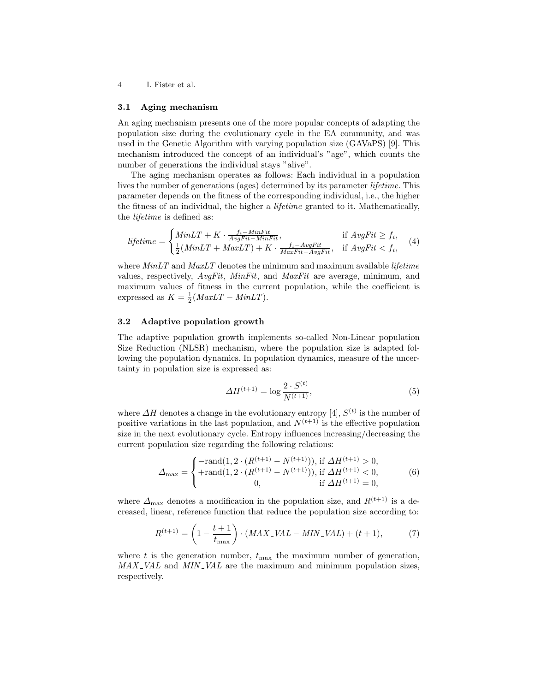4 I. Fister et al.

#### 3.1 Aging mechanism

An aging mechanism presents one of the more popular concepts of adapting the population size during the evolutionary cycle in the EA community, and was used in the Genetic Algorithm with varying population size (GAVaPS) [9]. This mechanism introduced the concept of an individual's "age", which counts the number of generations the individual stays "alive".

The aging mechanism operates as follows: Each individual in a population lives the number of generations (ages) determined by its parameter lifetime. This parameter depends on the fitness of the corresponding individual, i.e., the higher the fitness of an individual, the higher a lifetime granted to it. Mathematically, the lifetime is defined as:

$$
lifetime = \begin{cases} MinLT + K \cdot \frac{f_i - MinFit}{AvgFit - MinFit}, & \text{if } AvgFit \ge f_i, \\ \frac{1}{2}(MinLT + MaxLT) + K \cdot \frac{f_i - AvgFit}{MaxFit - AvgFit}, & \text{if } AvgFit < f_i, \end{cases} \tag{4}
$$

where  $MinLT$  and  $MaxLT$  denotes the minimum and maximum available *lifetime* values, respectively,  $AvqFit$ ,  $MinFit$ , and  $MaxFit$  are average, minimum, and maximum values of fitness in the current population, while the coefficient is expressed as  $K = \frac{1}{2}(MaxLT - MinLT)$ .

#### 3.2 Adaptive population growth

The adaptive population growth implements so-called Non-Linear population Size Reduction (NLSR) mechanism, where the population size is adapted following the population dynamics. In population dynamics, measure of the uncertainty in population size is expressed as:

$$
\Delta H^{(t+1)} = \log \frac{2 \cdot S^{(t)}}{N^{(t+1)}},\tag{5}
$$

where  $\Delta H$  denotes a change in the evolutionary entropy [4],  $S^{(t)}$  is the number of positive variations in the last population, and  $N^{(t+1)}$  is the effective population size in the next evolutionary cycle. Entropy influences increasing/decreasing the current population size regarding the following relations:

$$
\Delta_{\max} = \begin{cases}\n-\text{rand}(1, 2 \cdot (R^{(t+1)} - N^{(t+1)})), \text{ if } \Delta H^{(t+1)} > 0, \\
+\text{rand}(1, 2 \cdot (R^{(t+1)} - N^{(t+1)})), \text{ if } \Delta H^{(t+1)} < 0, \\
0, \quad \text{ if } \Delta H^{(t+1)} = 0,\n\end{cases}
$$
(6)

where  $\Delta_{\text{max}}$  denotes a modification in the population size, and  $R^{(t+1)}$  is a decreased, linear, reference function that reduce the population size according to:

$$
R^{(t+1)} = \left(1 - \frac{t+1}{t_{\text{max}}}\right) \cdot (MAX_{-}VAL - MIN_{-}VAL) + (t+1),\tag{7}
$$

where t is the generation number,  $t_{\text{max}}$  the maximum number of generation,  $MAX\_VAL$  and  $MIN\_VAL$  are the maximum and minimum population sizes, respectively.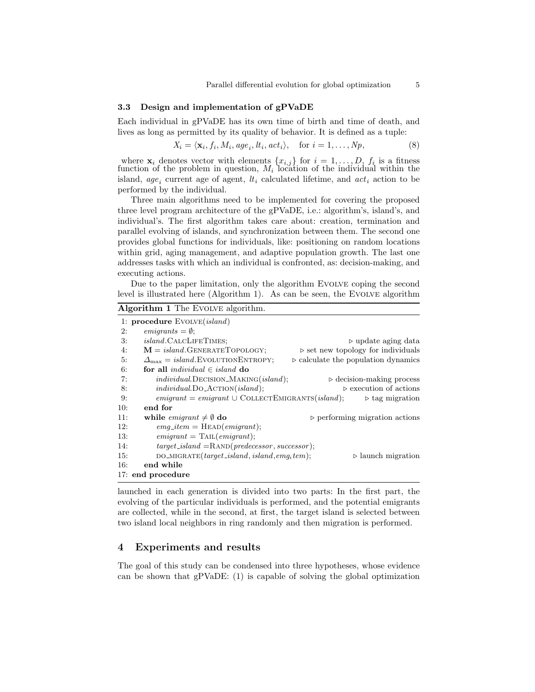#### 3.3 Design and implementation of gPVaDE

Each individual in gPVaDE has its own time of birth and time of death, and lives as long as permitted by its quality of behavior. It is defined as a tuple:

$$
X_i = \langle \mathbf{x}_i, f_i, M_i, age_i, lt_i, act_i \rangle, \quad \text{for } i = 1, \dots, N_p,
$$
 (8)

where  $\mathbf{x}_i$  denotes vector with elements  $\{x_{i,j}\}$  for  $i = 1, \ldots, D, f_i$  is a fitness function of the problem in question,  $M_i$  location of the individual within the island,  $age_i$  current age of agent,  $lt_i$  calculated lifetime, and  $act_i$  action to be performed by the individual.

Three main algorithms need to be implemented for covering the proposed three level program architecture of the gPVaDE, i.e.: algorithm's, island's, and individual's. The first algorithm takes care about: creation, termination and parallel evolving of islands, and synchronization between them. The second one provides global functions for individuals, like: positioning on random locations within grid, aging management, and adaptive population growth. The last one addresses tasks with which an individual is confronted, as: decision-making, and executing actions.

Due to the paper limitation, only the algorithm Evolve coping the second level is illustrated here (Algorithm 1). As can be seen, the Evolve algorithm

|     | <b>Algorithm 1</b> The EVOLVE algorithm.                       |                                                    |
|-----|----------------------------------------------------------------|----------------------------------------------------|
|     | 1: procedure $EVOLVE(island)$                                  |                                                    |
| 2:  | $emiquants = \emptyset$                                        |                                                    |
| 3:  | <i>island</i> .CALCLIFETIMES;                                  | $\triangleright$ update aging data                 |
| 4:  | $M = island.GENERATETOPOLOGY;$                                 | $\triangleright$ set new topology for individuals  |
| 5:  | $\Delta_{\text{max}} = island.\text{EvoLUTION}\text{ENTROPY};$ | $\triangleright$ calculate the population dynamics |
| 6:  | for all <i>individual</i> $\in$ <i>island</i> do               |                                                    |
| 7:  | $individual$ DECISION_MAKING $(island)$ ;                      | $\triangleright$ decision-making process           |
| 8:  | $individual. DO\_ACTION(island);$                              | $\triangleright$ execution of actions              |
| 9:  | $emigrant = emigrant \cup COLLECTEMIGRANTS(island);$           | $\triangleright$ tag migration                     |
| 10: | end for                                                        |                                                    |
| 11: | while <i>emigrant</i> $\neq \emptyset$ do                      | $\triangleright$ performing migration actions      |
| 12: | $emq\_item = \text{HEAD}(emigrant);$                           |                                                    |
| 13: | $emigrant = \text{TAIL}(emigrant);$                            |                                                    |
| 14: | $target\_island =$ RAND(predecessor, successor);               |                                                    |
| 15: | $DO\_MIGRATE(target\_island, island, emg_item);$               | $\triangleright$ launch migration                  |
| 16: | end while                                                      |                                                    |
|     | 17: end procedure                                              |                                                    |

launched in each generation is divided into two parts: In the first part, the evolving of the particular individuals is performed, and the potential emigrants are collected, while in the second, at first, the target island is selected between two island local neighbors in ring randomly and then migration is performed.

## 4 Experiments and results

The goal of this study can be condensed into three hypotheses, whose evidence can be shown that gPVaDE: (1) is capable of solving the global optimization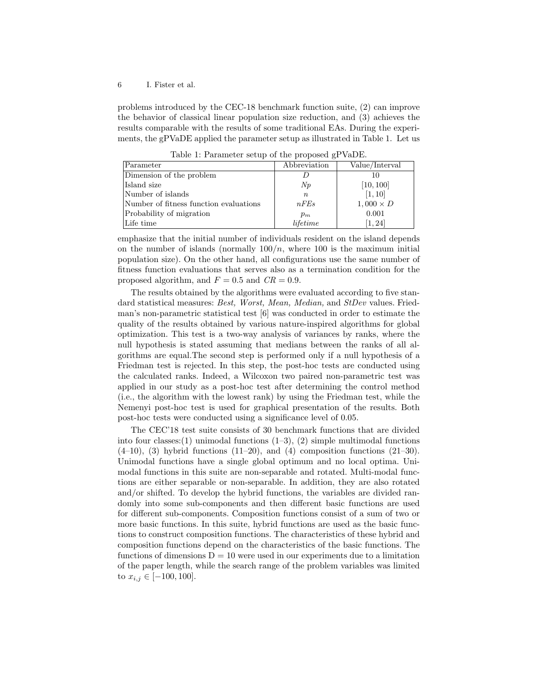problems introduced by the CEC-18 benchmark function suite, (2) can improve the behavior of classical linear population size reduction, and (3) achieves the results comparable with the results of some traditional EAs. During the experiments, the gPVaDE applied the parameter setup as illustrated in Table 1. Let us

| rapio 1. I altalliotol potap of the proposed gr (ab b). |              |                  |  |  |  |  |  |
|---------------------------------------------------------|--------------|------------------|--|--|--|--|--|
| Parameter                                               | Abbreviation | Value/Interval   |  |  |  |  |  |
| Dimension of the problem                                |              |                  |  |  |  |  |  |
| Island size                                             | Np           | [10, 100]        |  |  |  |  |  |
| Number of islands                                       | $n_{\rm c}$  | [1, 10]          |  |  |  |  |  |
| Number of fitness function evaluations                  | nFEs         | $1,000 \times D$ |  |  |  |  |  |
| Probability of migration                                | $p_m$        | 0.001            |  |  |  |  |  |
| Life time                                               | lifetime     | 1, 24            |  |  |  |  |  |

Table 1: Parameter setup of the proposed gPVaDE.

emphasize that the initial number of individuals resident on the island depends on the number of islands (normally  $100/n$ , where 100 is the maximum initial population size). On the other hand, all configurations use the same number of fitness function evaluations that serves also as a termination condition for the proposed algorithm, and  $F = 0.5$  and  $CR = 0.9$ .

The results obtained by the algorithms were evaluated according to five standard statistical measures: Best, Worst, Mean, Median, and StDev values. Friedman's non-parametric statistical test [6] was conducted in order to estimate the quality of the results obtained by various nature-inspired algorithms for global optimization. This test is a two-way analysis of variances by ranks, where the null hypothesis is stated assuming that medians between the ranks of all algorithms are equal.The second step is performed only if a null hypothesis of a Friedman test is rejected. In this step, the post-hoc tests are conducted using the calculated ranks. Indeed, a Wilcoxon two paired non-parametric test was applied in our study as a post-hoc test after determining the control method (i.e., the algorithm with the lowest rank) by using the Friedman test, while the Nemenyi post-hoc test is used for graphical presentation of the results. Both post-hoc tests were conducted using a significance level of 0.05.

The CEC'18 test suite consists of 30 benchmark functions that are divided into four classes:(1) unimodal functions  $(1-3)$ ,  $(2)$  simple multimodal functions  $(4-10)$ ,  $(3)$  hybrid functions  $(11-20)$ , and  $(4)$  composition functions  $(21-30)$ . Unimodal functions have a single global optimum and no local optima. Unimodal functions in this suite are non-separable and rotated. Multi-modal functions are either separable or non-separable. In addition, they are also rotated and/or shifted. To develop the hybrid functions, the variables are divided randomly into some sub-components and then different basic functions are used for different sub-components. Composition functions consist of a sum of two or more basic functions. In this suite, hybrid functions are used as the basic functions to construct composition functions. The characteristics of these hybrid and composition functions depend on the characteristics of the basic functions. The functions of dimensions  $D = 10$  were used in our experiments due to a limitation of the paper length, while the search range of the problem variables was limited to  $x_{i,j} \in [-100, 100]$ .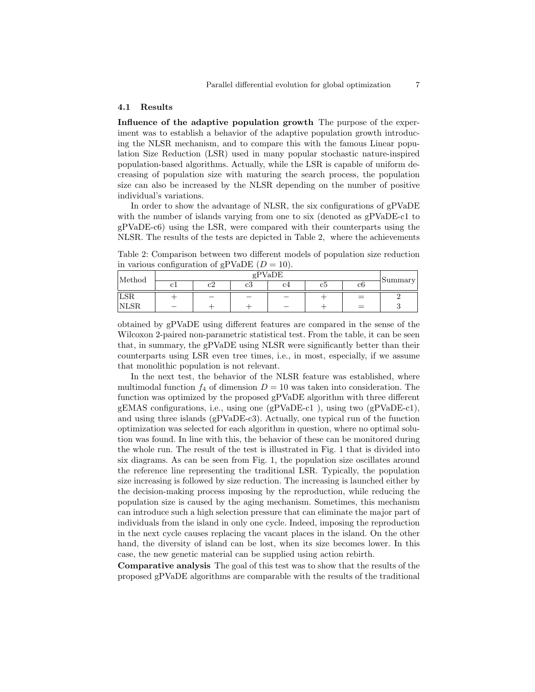#### 4.1 Results

Influence of the adaptive population growth The purpose of the experiment was to establish a behavior of the adaptive population growth introducing the NLSR mechanism, and to compare this with the famous Linear population Size Reduction (LSR) used in many popular stochastic nature-inspired population-based algorithms. Actually, while the LSR is capable of uniform decreasing of population size with maturing the search process, the population size can also be increased by the NLSR depending on the number of positive individual's variations.

In order to show the advantage of NLSR, the six configurations of gPVaDE with the number of islands varying from one to six (denoted as  $gPVaDE-c1$  to gPVaDE-c6) using the LSR, were compared with their counterparts using the NLSR. The results of the tests are depicted in Table 2, where the achievements

Table 2: Comparison between two different models of population size reduction in various configuration of gPVaDE  $(D = 10)$ .

| Method     | gPVaDE  |          |                          |                          |  |     |         |  |
|------------|---------|----------|--------------------------|--------------------------|--|-----|---------|--|
|            | ີ<br>◡⊥ | ∼.<br>◡▵ | c3                       | C4<br>сэ                 |  | с6  | Summary |  |
| <b>LSR</b> |         | -        | $\overline{\phantom{a}}$ | $\overline{\phantom{a}}$ |  | $=$ |         |  |
| 'NLSR      | -       |          |                          | $\overline{\phantom{0}}$ |  | $=$ |         |  |

obtained by gPVaDE using different features are compared in the sense of the Wilcoxon 2-paired non-parametric statistical test. From the table, it can be seen that, in summary, the gPVaDE using NLSR were significantly better than their counterparts using LSR even tree times, i.e., in most, especially, if we assume that monolithic population is not relevant.

In the next test, the behavior of the NLSR feature was established, where multimodal function  $f_4$  of dimension  $D = 10$  was taken into consideration. The function was optimized by the proposed gPVaDE algorithm with three different gEMAS configurations, i.e., using one (gPVaDE-c1 ), using two (gPVaDE-c1), and using three islands (gPVaDE-c3). Actually, one typical run of the function optimization was selected for each algorithm in question, where no optimal solution was found. In line with this, the behavior of these can be monitored during the whole run. The result of the test is illustrated in Fig. 1 that is divided into six diagrams. As can be seen from Fig. 1, the population size oscillates around the reference line representing the traditional LSR. Typically, the population size increasing is followed by size reduction. The increasing is launched either by the decision-making process imposing by the reproduction, while reducing the population size is caused by the aging mechanism. Sometimes, this mechanism can introduce such a high selection pressure that can eliminate the major part of individuals from the island in only one cycle. Indeed, imposing the reproduction in the next cycle causes replacing the vacant places in the island. On the other hand, the diversity of island can be lost, when its size becomes lower. In this case, the new genetic material can be supplied using action rebirth.

Comparative analysis The goal of this test was to show that the results of the proposed gPVaDE algorithms are comparable with the results of the traditional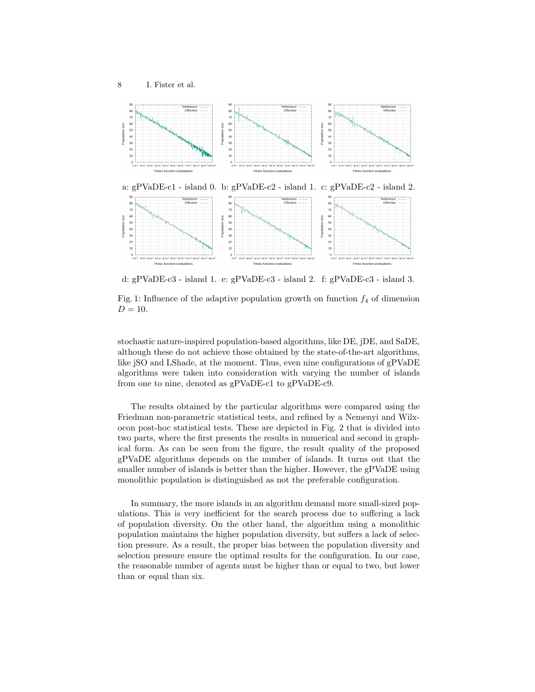

d: gPVaDE-c3 - island 1. e: gPVaDE-c3 - island 2. f: gPVaDE-c3 - island 3.

Fig. 1: Influence of the adaptive population growth on function  $f_4$  of dimension  $D = 10.$ 

stochastic nature-inspired population-based algorithms, like DE, jDE, and SaDE, although these do not achieve those obtained by the state-of-the-art algorithms, like jSO and LShade, at the moment. Thus, even nine configurations of gPVaDE algorithms were taken into consideration with varying the number of islands from one to nine, denoted as gPVaDE-c1 to gPVaDE-c9.

The results obtained by the particular algorithms were compared using the Friedman non-parametric statistical tests, and refined by a Nemenyi and Wilxocon post-hoc statistical tests. These are depicted in Fig. 2 that is divided into two parts, where the first presents the results in numerical and second in graphical form. As can be seen from the figure, the result quality of the proposed gPVaDE algorithms depends on the number of islands. It turns out that the smaller number of islands is better than the higher. However, the gPVaDE using monolithic population is distinguished as not the preferable configuration.

In summary, the more islands in an algorithm demand more small-sized populations. This is very inefficient for the search process due to suffering a lack of population diversity. On the other hand, the algorithm using a monolithic population maintains the higher population diversity, but suffers a lack of selection pressure. As a result, the proper bias between the population diversity and selection pressure ensure the optimal results for the configuration. In our case, the reasonable number of agents must be higher than or equal to two, but lower than or equal than six.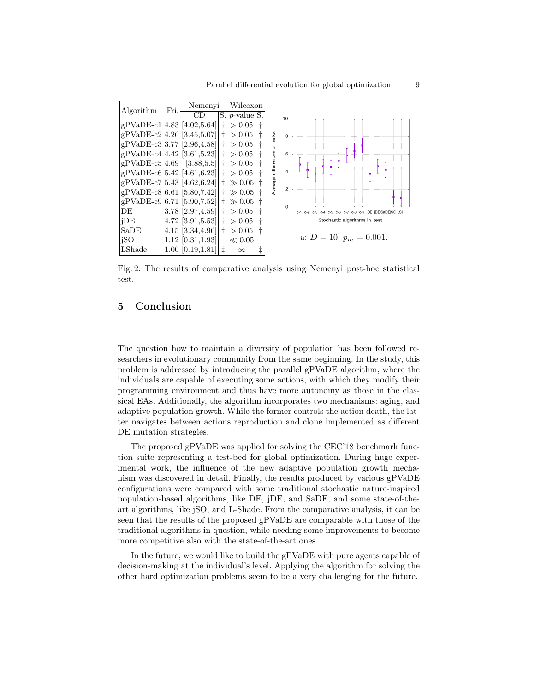| Algorithm                        | Fri.               | Nemenyi                  |                      |                      | Wilcoxon |                              |               |                                                       |  |  |
|----------------------------------|--------------------|--------------------------|----------------------|----------------------|----------|------------------------------|---------------|-------------------------------------------------------|--|--|
|                                  |                    | CD                       |                      | $S.$ $p$ -value $S.$ |          |                              | 10            |                                                       |  |  |
| $gPVaDE-c1 4.83 [4.02,5.64]$     |                    |                          |                      | > 0.05               |          |                              |               |                                                       |  |  |
| $gPVaDE-c2 4.26 [3.45,5.07]$     |                    |                          |                      | > 0.05               |          |                              | 8             |                                                       |  |  |
| $gPVaDE-c3 3.77 [2.96,4.58] $    |                    |                          |                      | > 0.05               |          | Average differences of ranks |               |                                                       |  |  |
| $gPVaDE-c4 4.42 [3.61,5.23]$     |                    |                          | $\ddot{\phantom{1}}$ | > 0.05               |          |                              | 6             |                                                       |  |  |
| $gPVaDE-c5[4.69]$ [3.88,5.5]     |                    |                          |                      | > 0.05               |          |                              |               |                                                       |  |  |
| $gPVaDE-c6[5.42][4.61,6.23]$     |                    |                          |                      | > 0.05               |          |                              | 4             |                                                       |  |  |
| $gPVaDE-c7[5.43 [4.62,6.24]$     |                    |                          |                      | $\gg 0.05$           |          |                              |               |                                                       |  |  |
| $gPVaDE-c8[6.61 [5.80,7.42] +1]$ |                    |                          |                      | $\gg 0.05$  †        |          |                              | $\mathcal{P}$ |                                                       |  |  |
| $gPVaDE-c9[6.71][5.90,7.52]$     |                    |                          |                      | $\gg 0.05$           |          |                              | $\Omega$      |                                                       |  |  |
| DE                               |                    | $3.78$ $[2.97, 4.59]$ †  |                      | > 0.05               |          |                              |               | c-1 c-2 c-3 c-4 c-5 c-6 c-7 c-8 c-9 DE jDESaDEjSO LSH |  |  |
| iDE                              |                    | $ 4.72  [3.91, 5.53]  +$ |                      | > 0.05               |          |                              |               | Stochastic algorithms in test                         |  |  |
| SaDE                             | $4.15$ [3.34,4.96] |                          | > 0.05               |                      |          |                              |               |                                                       |  |  |
| iSO                              |                    | $1.12$ [0.31, 1.93]      |                      | $\ll 0.05$           |          |                              |               | a: $D = 10$ , $p_m = 0.001$ .                         |  |  |
| LShade                           |                    | $1.00$ [0.19, 1.81]      | İ                    | $\infty$             | ţ        |                              |               |                                                       |  |  |

Fig. 2: The results of comparative analysis using Nemenyi post-hoc statistical test.

## 5 Conclusion

The question how to maintain a diversity of population has been followed researchers in evolutionary community from the same beginning. In the study, this problem is addressed by introducing the parallel gPVaDE algorithm, where the individuals are capable of executing some actions, with which they modify their programming environment and thus have more autonomy as those in the classical EAs. Additionally, the algorithm incorporates two mechanisms: aging, and adaptive population growth. While the former controls the action death, the latter navigates between actions reproduction and clone implemented as different DE mutation strategies.

The proposed gPVaDE was applied for solving the CEC'18 benchmark function suite representing a test-bed for global optimization. During huge experimental work, the influence of the new adaptive population growth mechanism was discovered in detail. Finally, the results produced by various gPVaDE configurations were compared with some traditional stochastic nature-inspired population-based algorithms, like DE, jDE, and SaDE, and some state-of-theart algorithms, like jSO, and L-Shade. From the comparative analysis, it can be seen that the results of the proposed gPVaDE are comparable with those of the traditional algorithms in question, while needing some improvements to become more competitive also with the state-of-the-art ones.

In the future, we would like to build the gPVaDE with pure agents capable of decision-making at the individual's level. Applying the algorithm for solving the other hard optimization problems seem to be a very challenging for the future.